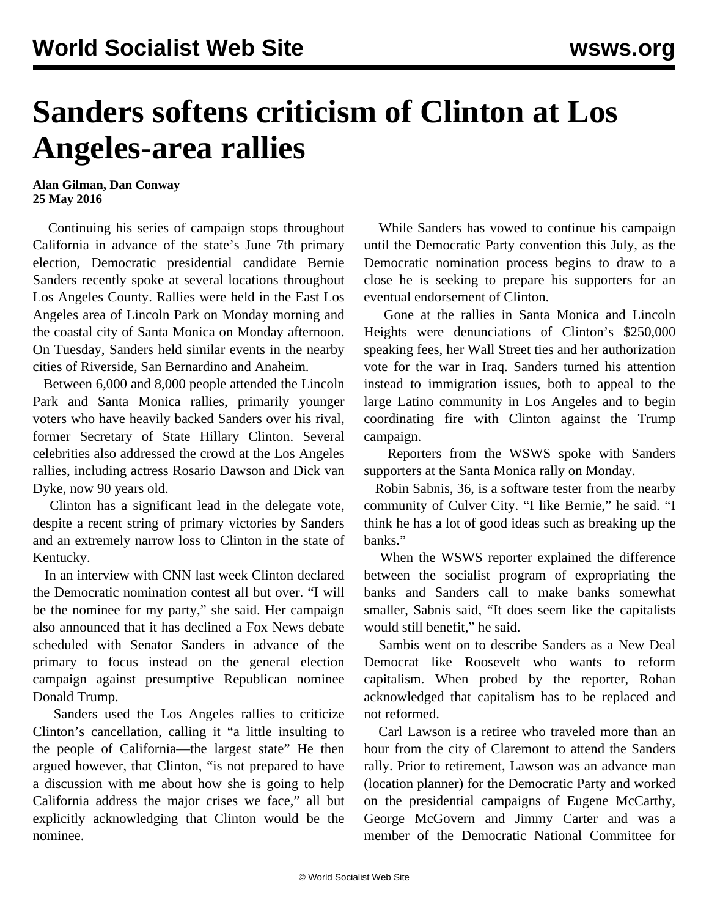## **Sanders softens criticism of Clinton at Los Angeles-area rallies**

**Alan Gilman, Dan Conway 25 May 2016**

 Continuing his series of campaign stops throughout California in advance of the state's June 7th primary election, Democratic presidential candidate Bernie Sanders recently spoke at several locations throughout Los Angeles County. Rallies were held in the East Los Angeles area of Lincoln Park on Monday morning and the coastal city of Santa Monica on Monday afternoon. On Tuesday, Sanders held similar events in the nearby cities of Riverside, San Bernardino and Anaheim.

 Between 6,000 and 8,000 people attended the Lincoln Park and Santa Monica rallies, primarily younger voters who have heavily backed Sanders over his rival, former Secretary of State Hillary Clinton. Several celebrities also addressed the crowd at the Los Angeles rallies, including actress Rosario Dawson and Dick van Dyke, now 90 years old.

 Clinton has a significant lead in the delegate vote, despite a recent string of primary victories by Sanders and an extremely narrow loss to Clinton in the state of Kentucky.

 In an interview with CNN last week Clinton declared the Democratic nomination contest all but over. "I will be the nominee for my party," she said. Her campaign also announced that it has declined a Fox News debate scheduled with Senator Sanders in advance of the primary to focus instead on the general election campaign against presumptive Republican nominee Donald Trump.

 Sanders used the Los Angeles rallies to criticize Clinton's cancellation, calling it "a little insulting to the people of California—the largest state" He then argued however, that Clinton, "is not prepared to have a discussion with me about how she is going to help California address the major crises we face," all but explicitly acknowledging that Clinton would be the nominee.

 While Sanders has vowed to continue his campaign until the Democratic Party convention this July, as the Democratic nomination process begins to draw to a close he is seeking to prepare his supporters for an eventual endorsement of Clinton.

 Gone at the rallies in Santa Monica and Lincoln Heights were denunciations of Clinton's \$250,000 speaking fees, her Wall Street ties and her authorization vote for the war in Iraq. Sanders turned his attention instead to immigration issues, both to appeal to the large Latino community in Los Angeles and to begin coordinating fire with Clinton against the Trump campaign.

 Reporters from the WSWS spoke with Sanders supporters at the Santa Monica rally on Monday.

 Robin Sabnis, 36, is a software tester from the nearby community of Culver City. "I like Bernie," he said. "I think he has a lot of good ideas such as breaking up the banks."

 When the WSWS reporter explained the difference between the socialist program of expropriating the banks and Sanders call to make banks somewhat smaller, Sabnis said, "It does seem like the capitalists would still benefit," he said.

 Sambis went on to describe Sanders as a New Deal Democrat like Roosevelt who wants to reform capitalism. When probed by the reporter, Rohan acknowledged that capitalism has to be replaced and not reformed.

 Carl Lawson is a retiree who traveled more than an hour from the city of Claremont to attend the Sanders rally. Prior to retirement, Lawson was an advance man (location planner) for the Democratic Party and worked on the presidential campaigns of Eugene McCarthy, George McGovern and Jimmy Carter and was a member of the Democratic National Committee for